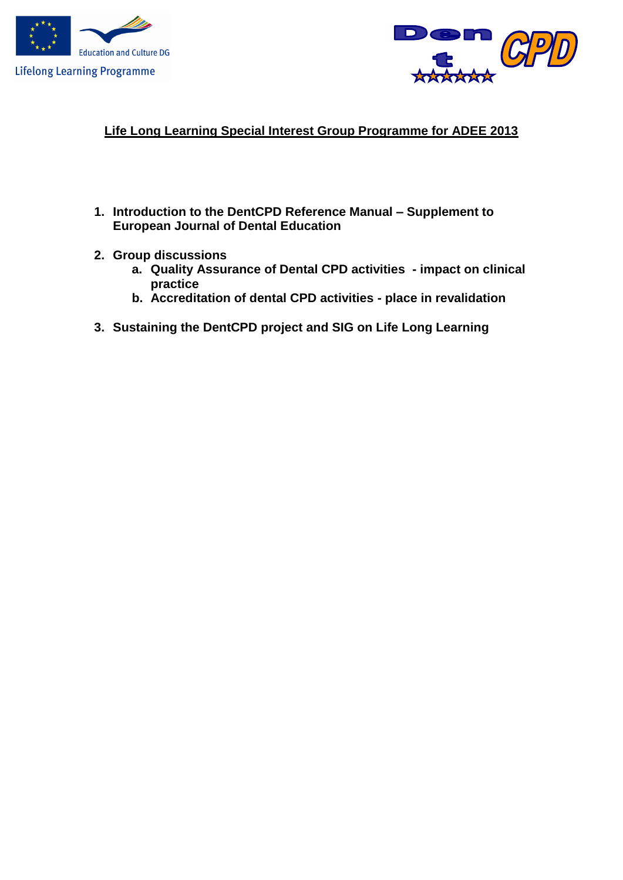



# **Life Long Learning Special Interest Group Programme for ADEE 2013**

- **1. Introduction to the DentCPD Reference Manual – Supplement to European Journal of Dental Education**
- **2. Group discussions**
	- **a. Quality Assurance of Dental CPD activities - impact on clinical practice**
	- **b. Accreditation of dental CPD activities - place in revalidation**
- **3. Sustaining the DentCPD project and SIG on Life Long Learning**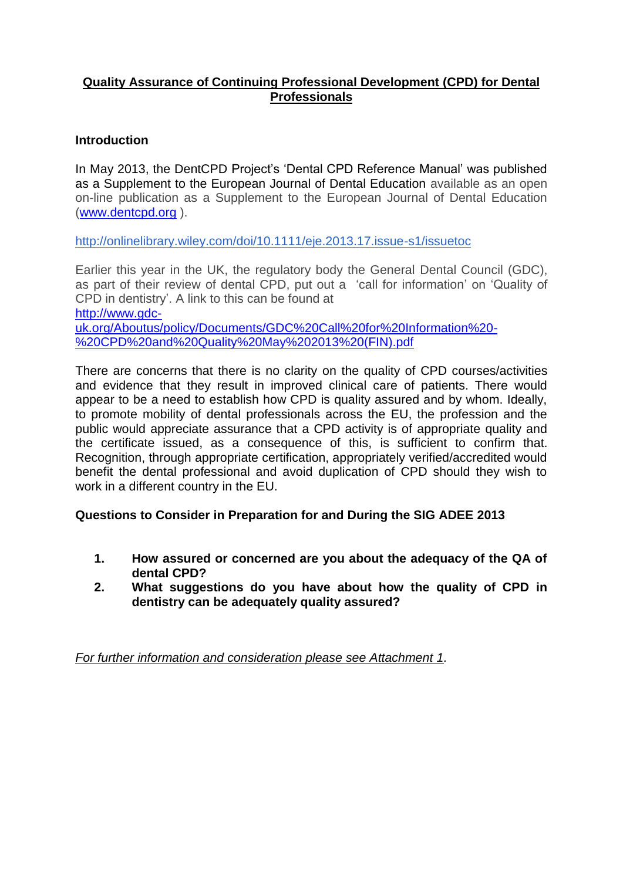### **Quality Assurance of Continuing Professional Development (CPD) for Dental Professionals**

### **Introduction**

In May 2013, the DentCPD Project's 'Dental CPD Reference Manual' was published as a Supplement to the European Journal of Dental Education available as an open on-line publication as a Supplement to the European Journal of Dental Education [\(www.dentcpd.org](http://www.dentcpd.org/) ).

<http://onlinelibrary.wiley.com/doi/10.1111/eje.2013.17.issue-s1/issuetoc>

Earlier this year in the UK, the regulatory body the General Dental Council (GDC), as part of their review of dental CPD, put out a 'call for information' on 'Quality of CPD in dentistry'. A link to this can be found at [http://www.gdc](http://www.gdc-uk.org/Aboutus/policy/Documents/GDC%20Call%20for%20Information%20-%20CPD%20and%20Quality%20May%202013%20(FIN).pdf)[uk.org/Aboutus/policy/Documents/GDC%20Call%20for%20Information%20-](http://www.gdc-uk.org/Aboutus/policy/Documents/GDC%20Call%20for%20Information%20-%20CPD%20and%20Quality%20May%202013%20(FIN).pdf) [%20CPD%20and%20Quality%20May%202013%20\(FIN\).pdf](http://www.gdc-uk.org/Aboutus/policy/Documents/GDC%20Call%20for%20Information%20-%20CPD%20and%20Quality%20May%202013%20(FIN).pdf)

There are concerns that there is no clarity on the quality of CPD courses/activities and evidence that they result in improved clinical care of patients. There would appear to be a need to establish how CPD is quality assured and by whom. Ideally, to promote mobility of dental professionals across the EU, the profession and the public would appreciate assurance that a CPD activity is of appropriate quality and the certificate issued, as a consequence of this, is sufficient to confirm that. Recognition, through appropriate certification, appropriately verified/accredited would benefit the dental professional and avoid duplication of CPD should they wish to work in a different country in the EU.

**Questions to Consider in Preparation for and During the SIG ADEE 2013**

- **1. How assured or concerned are you about the adequacy of the QA of dental CPD?**
- **2. What suggestions do you have about how the quality of CPD in dentistry can be adequately quality assured?**

*For further information and consideration please see Attachment 1.*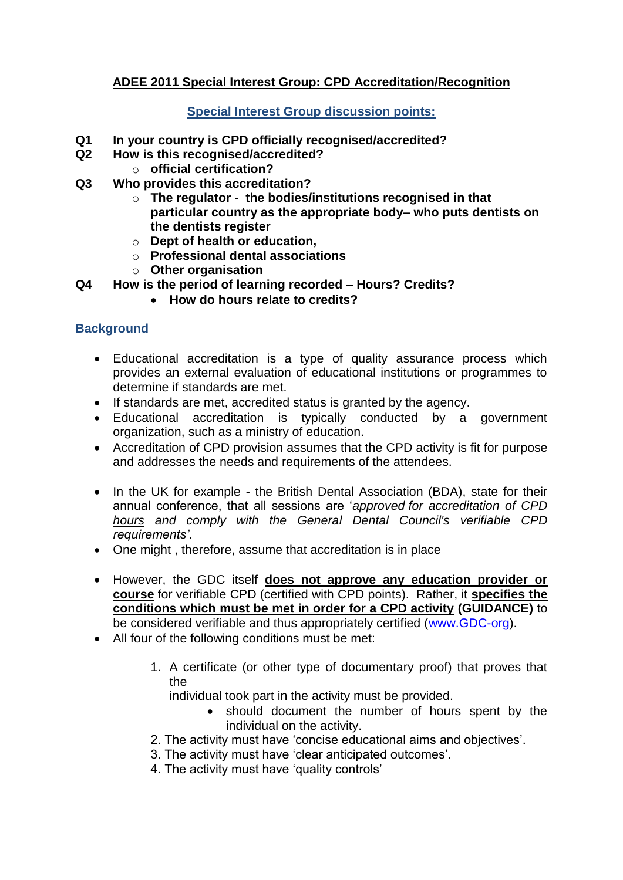# **ADEE 2011 Special Interest Group: CPD Accreditation/Recognition**

### **Special Interest Group discussion points:**

- **Q1 In your country is CPD officially recognised/accredited?**
- **Q2 How is this recognised/accredited?** 
	- o **official certification?**
- **Q3 Who provides this accreditation?**
	- o **The regulator the bodies/institutions recognised in that particular country as the appropriate body– who puts dentists on the dentists register**
	- o **Dept of health or education,**
	- o **Professional dental associations**
	- o **Other organisation**
- **Q4 How is the period of learning recorded – Hours? Credits?**
	- **How do hours relate to credits?**

### **Background**

- Educational accreditation is a type of quality assurance process which provides an external evaluation of educational institutions or programmes to determine if standards are met.
- If standards are met, accredited status is granted by the agency.
- Educational accreditation is typically conducted by a government organization, such as a ministry of education.
- Accreditation of CPD provision assumes that the CPD activity is fit for purpose and addresses the needs and requirements of the attendees.
- In the UK for example the British Dental Association (BDA), state for their annual conference, that all sessions are '*approved for accreditation of CPD hours and comply with the General Dental Council's verifiable CPD requirements'*.
- One might , therefore, assume that accreditation is in place
- However, the GDC itself **does not approve any education provider or course** for verifiable CPD (certified with CPD points). Rather, it **specifies the conditions which must be met in order for a CPD activity (GUIDANCE)** to be considered verifiable and thus appropriately certified [\(www.GDC-org\)](http://www.gdc-org/).
- All four of the following conditions must be met:
	- 1. A certificate (or other type of documentary proof) that proves that the

individual took part in the activity must be provided.

- should document the number of hours spent by the individual on the activity.
- 2. The activity must have 'concise educational aims and objectives'.
- 3. The activity must have 'clear anticipated outcomes'.
- 4. The activity must have 'quality controls'